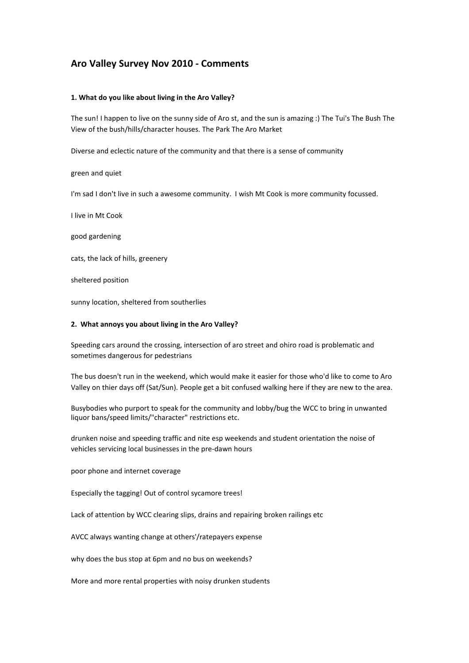# Aro Valley Survey Nov 2010 - Comments

### 1. What do you like about living in the Aro Valley?

The sun! I happen to live on the sunny side of Aro st, and the sun is amazing :) The Tui's The Bush The View of the bush/hills/character houses. The Park The Aro Market

Diverse and eclectic nature of the community and that there is a sense of community

green and quiet

I'm sad I don't live in such a awesome community. I wish Mt Cook is more community focussed.

I live in Mt Cook

good gardening

cats, the lack of hills, greenery

sheltered position

sunny location, sheltered from southerlies

### 2. What annoys you about living in the Aro Valley?

Speeding cars around the crossing, intersection of aro street and ohiro road is problematic and sometimes dangerous for pedestrians

The bus doesn't run in the weekend, which would make it easier for those who'd like to come to Aro Valley on thier days off (Sat/Sun). People get a bit confused walking here if they are new to the area.

Busybodies who purport to speak for the community and lobby/bug the WCC to bring in unwanted liquor bans/speed limits/"character" restrictions etc.

drunken noise and speeding traffic and nite esp weekends and student orientation the noise of vehicles servicing local businesses in the pre-dawn hours

poor phone and internet coverage

Especially the tagging! Out of control sycamore trees!

Lack of attention by WCC clearing slips, drains and repairing broken railings etc

AVCC always wanting change at others'/ratepayers expense

why does the bus stop at 6pm and no bus on weekends?

More and more rental properties with noisy drunken students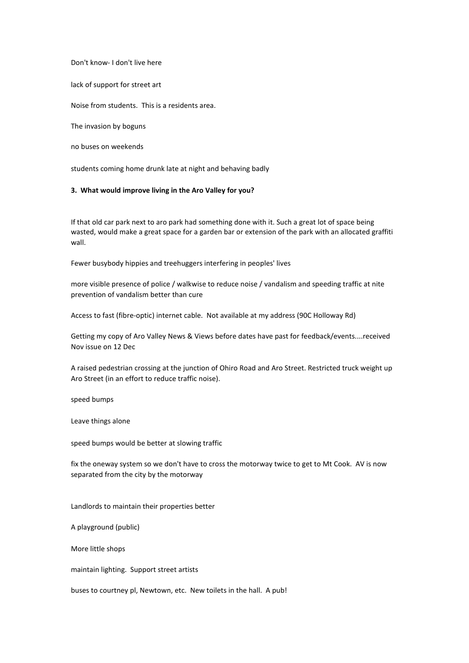Don't know- I don't live here

lack of support for street art

Noise from students. This is a residents area.

The invasion by boguns

no buses on weekends

students coming home drunk late at night and behaving badly

## 3. What would improve living in the Aro Valley for you?

If that old car park next to aro park had something done with it. Such a great lot of space being wasted, would make a great space for a garden bar or extension of the park with an allocated graffiti wall.

Fewer busybody hippies and treehuggers interfering in peoples' lives

more visible presence of police / walkwise to reduce noise / vandalism and speeding traffic at nite prevention of vandalism better than cure

Access to fast (fibre-optic) internet cable. Not available at my address (90C Holloway Rd)

Getting my copy of Aro Valley News & Views before dates have past for feedback/events....received Nov issue on 12 Dec

A raised pedestrian crossing at the junction of Ohiro Road and Aro Street. Restricted truck weight up Aro Street (in an effort to reduce traffic noise).

speed bumps

Leave things alone

speed bumps would be better at slowing traffic

fix the oneway system so we don't have to cross the motorway twice to get to Mt Cook. AV is now separated from the city by the motorway

Landlords to maintain their properties better

A playground (public)

More little shops

maintain lighting. Support street artists

buses to courtney pl, Newtown, etc. New toilets in the hall. A pub!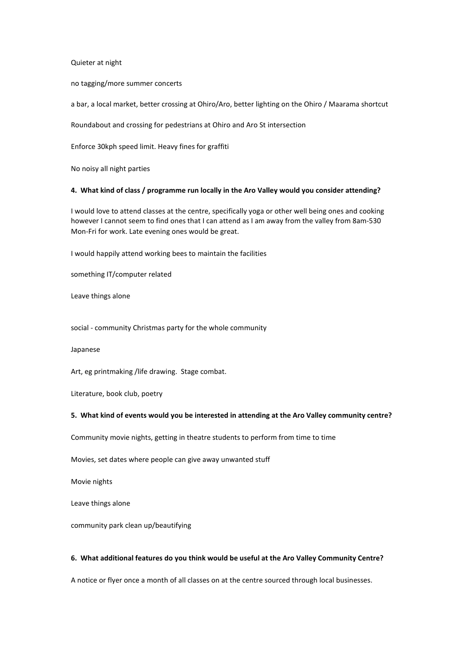Quieter at night

no tagging/more summer concerts

a bar, a local market, better crossing at Ohiro/Aro, better lighting on the Ohiro / Maarama shortcut

Roundabout and crossing for pedestrians at Ohiro and Aro St intersection

Enforce 30kph speed limit. Heavy fines for graffiti

No noisy all night parties

#### 4. What kind of class / programme run locally in the Aro Valley would you consider attending?

I would love to attend classes at the centre, specifically yoga or other well being ones and cooking however I cannot seem to find ones that I can attend as I am away from the valley from 8am-530 Mon-Fri for work. Late evening ones would be great.

I would happily attend working bees to maintain the facilities

something IT/computer related

Leave things alone

social - community Christmas party for the whole community

Japanese

Art, eg printmaking /life drawing. Stage combat.

Literature, book club, poetry

#### 5. What kind of events would you be interested in attending at the Aro Valley community centre?

Community movie nights, getting in theatre students to perform from time to time

Movies, set dates where people can give away unwanted stuff

Movie nights

Leave things alone

community park clean up/beautifying

#### 6. What additional features do you think would be useful at the Aro Valley Community Centre?

A notice or flyer once a month of all classes on at the centre sourced through local businesses.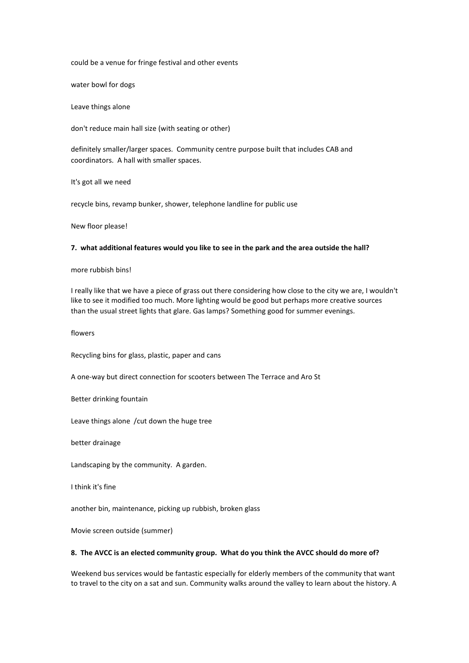could be a venue for fringe festival and other events

water bowl for dogs

Leave things alone

don't reduce main hall size (with seating or other)

definitely smaller/larger spaces. Community centre purpose built that includes CAB and coordinators. A hall with smaller spaces.

It's got all we need

recycle bins, revamp bunker, shower, telephone landline for public use

New floor please!

## 7. what additional features would you like to see in the park and the area outside the hall?

#### more rubbish bins!

I really like that we have a piece of grass out there considering how close to the city we are, I wouldn't like to see it modified too much. More lighting would be good but perhaps more creative sources than the usual street lights that glare. Gas lamps? Something good for summer evenings.

flowers

Recycling bins for glass, plastic, paper and cans

A one-way but direct connection for scooters between The Terrace and Aro St

Better drinking fountain

Leave things alone /cut down the huge tree

better drainage

Landscaping by the community. A garden.

I think it's fine

another bin, maintenance, picking up rubbish, broken glass

Movie screen outside (summer)

#### 8. The AVCC is an elected community group. What do you think the AVCC should do more of?

Weekend bus services would be fantastic especially for elderly members of the community that want to travel to the city on a sat and sun. Community walks around the valley to learn about the history. A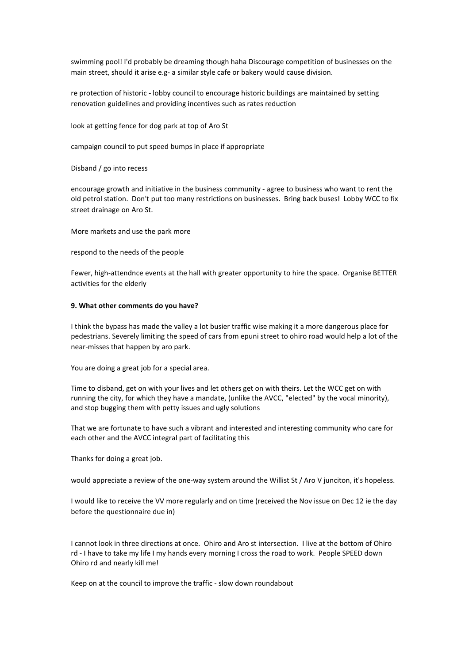swimming pool! I'd probably be dreaming though haha Discourage competition of businesses on the main street, should it arise e.g- a similar style cafe or bakery would cause division.

re protection of historic - lobby council to encourage historic buildings are maintained by setting renovation guidelines and providing incentives such as rates reduction

look at getting fence for dog park at top of Aro St

campaign council to put speed bumps in place if appropriate

Disband / go into recess

encourage growth and initiative in the business community - agree to business who want to rent the old petrol station. Don't put too many restrictions on businesses. Bring back buses! Lobby WCC to fix street drainage on Aro St.

More markets and use the park more

respond to the needs of the people

Fewer, high-attendnce events at the hall with greater opportunity to hire the space. Organise BETTER activities for the elderly

### 9. What other comments do you have?

I think the bypass has made the valley a lot busier traffic wise making it a more dangerous place for pedestrians. Severely limiting the speed of cars from epuni street to ohiro road would help a lot of the near-misses that happen by aro park.

You are doing a great job for a special area.

Time to disband, get on with your lives and let others get on with theirs. Let the WCC get on with running the city, for which they have a mandate, (unlike the AVCC, "elected" by the vocal minority), and stop bugging them with petty issues and ugly solutions

That we are fortunate to have such a vibrant and interested and interesting community who care for each other and the AVCC integral part of facilitating this

Thanks for doing a great job.

would appreciate a review of the one-way system around the Willist St / Aro V junciton, it's hopeless.

I would like to receive the VV more regularly and on time (received the Nov issue on Dec 12 ie the day before the questionnaire due in)

I cannot look in three directions at once. Ohiro and Aro st intersection. I live at the bottom of Ohiro rd - I have to take my life I my hands every morning I cross the road to work. People SPEED down Ohiro rd and nearly kill me!

Keep on at the council to improve the traffic - slow down roundabout